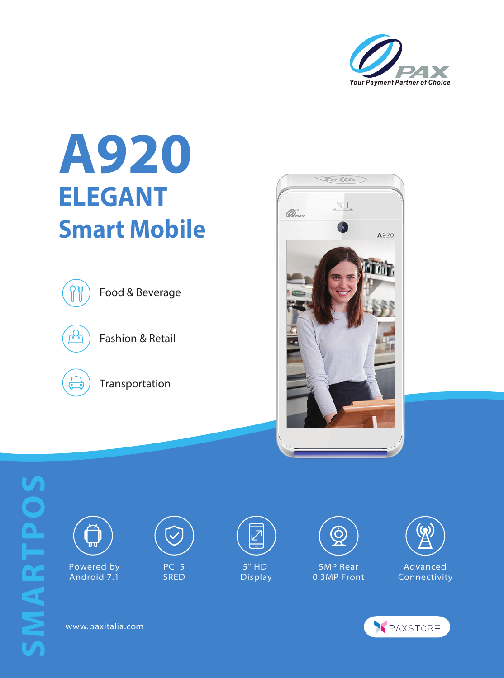

## **A920 ELEGANT Smart Mobile**





Fashion & Retail



Transportation





 Powered by Android 7.1



PCI<sub>5</sub> SRED



5" HD Display



5MP Rear 0.3MP Front



Advanced Connectivity



www.paxitalia.com